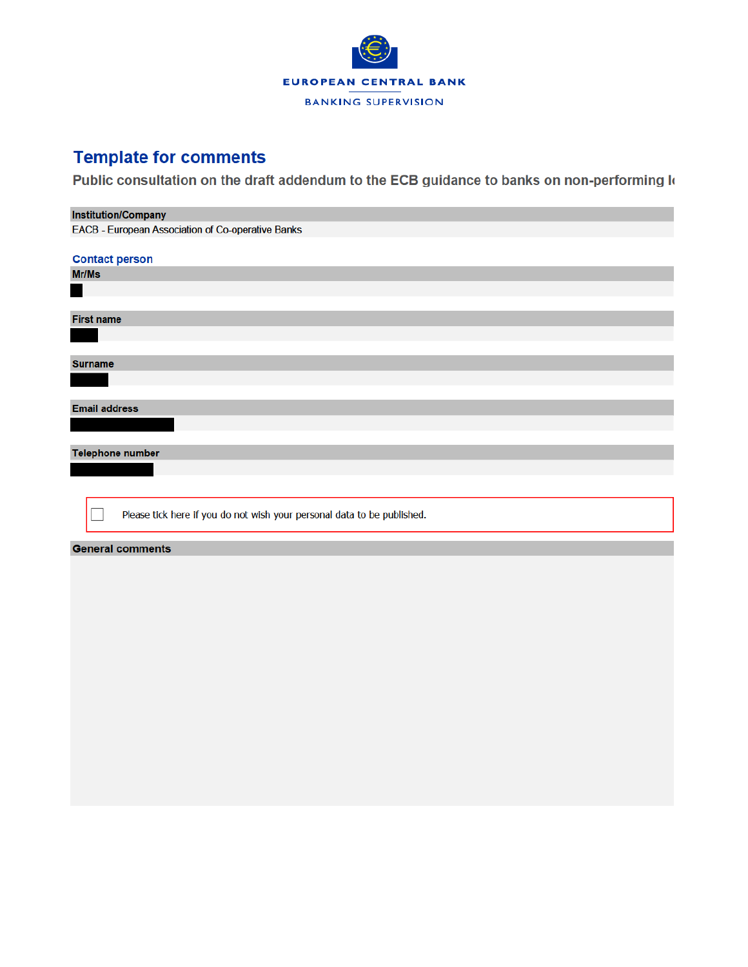

## **Template for comments**

Public consultation on the draft addendum to the ECB guidance to banks on non-performing Io

| <b>Institution/Company</b>                                              |
|-------------------------------------------------------------------------|
| EACB - European Association of Co-operative Banks                       |
|                                                                         |
| <b>Contact person</b>                                                   |
| Mr/Ms                                                                   |
|                                                                         |
|                                                                         |
| <b>First name</b>                                                       |
|                                                                         |
|                                                                         |
| <b>Surname</b>                                                          |
|                                                                         |
|                                                                         |
| <b>Email address</b>                                                    |
|                                                                         |
|                                                                         |
| <b>Telephone number</b>                                                 |
|                                                                         |
|                                                                         |
|                                                                         |
| Please tick here if you do not wish your personal data to be published. |
|                                                                         |
|                                                                         |
| <b>General comments</b>                                                 |
|                                                                         |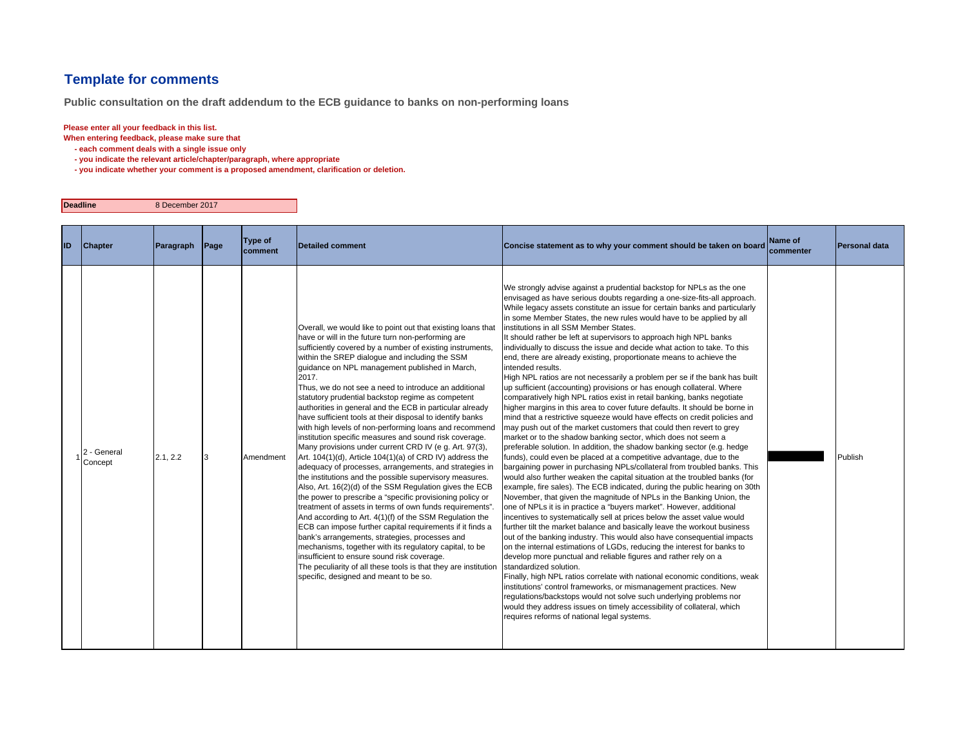## **Template for comments**

**Public consultation on the draft addendum to the ECB guidance to banks on non-performing loans**

## **Please enter all your feedback in this list.**

**Deadline**

**When entering feedback, please make sure that** 

- **each comment deals with a single issue only**
- **you indicate the relevant article/chapter/paragraph, where appropriate**

8 December 2017

 **- you indicate whether your comment is a proposed amendment, clarification or deletion.**

| ID. | <b>Chapter</b>         | Paragraph | Page | Type of<br><b>Icomment</b> | <b>Detailed comment</b>                                                                                                                                                                                                                                                                                                                                                                                                                                                                                                                                                                                                                                                                                                                                                                                                                                                                                                                                                                                                                                                                                                                                                                                                                                                                                                                                                                                                                                                                 | Concise statement as to why your comment should be taken on board                                                                                                                                                                                                                                                                                                                                                                                                                                                                                                                                                                                                                                                                                                                                                                                                                                                                                                                                                                                                                                                                                                                                                                                                                                                                                                                                                                                                                                                                                                                                                                                                                                                                                                                                                                                                                                                                                                                                                                                                                                                                                                                                                                                                                                                                                                                                                                          | Name of<br>commenter | Personal data |
|-----|------------------------|-----------|------|----------------------------|-----------------------------------------------------------------------------------------------------------------------------------------------------------------------------------------------------------------------------------------------------------------------------------------------------------------------------------------------------------------------------------------------------------------------------------------------------------------------------------------------------------------------------------------------------------------------------------------------------------------------------------------------------------------------------------------------------------------------------------------------------------------------------------------------------------------------------------------------------------------------------------------------------------------------------------------------------------------------------------------------------------------------------------------------------------------------------------------------------------------------------------------------------------------------------------------------------------------------------------------------------------------------------------------------------------------------------------------------------------------------------------------------------------------------------------------------------------------------------------------|--------------------------------------------------------------------------------------------------------------------------------------------------------------------------------------------------------------------------------------------------------------------------------------------------------------------------------------------------------------------------------------------------------------------------------------------------------------------------------------------------------------------------------------------------------------------------------------------------------------------------------------------------------------------------------------------------------------------------------------------------------------------------------------------------------------------------------------------------------------------------------------------------------------------------------------------------------------------------------------------------------------------------------------------------------------------------------------------------------------------------------------------------------------------------------------------------------------------------------------------------------------------------------------------------------------------------------------------------------------------------------------------------------------------------------------------------------------------------------------------------------------------------------------------------------------------------------------------------------------------------------------------------------------------------------------------------------------------------------------------------------------------------------------------------------------------------------------------------------------------------------------------------------------------------------------------------------------------------------------------------------------------------------------------------------------------------------------------------------------------------------------------------------------------------------------------------------------------------------------------------------------------------------------------------------------------------------------------------------------------------------------------------------------------------------------------|----------------------|---------------|
|     | 2 - General<br>Concept | 2.1, 2.2  |      | Amendment                  | Overall, we would like to point out that existing loans that<br>have or will in the future turn non-performing are<br>sufficiently covered by a number of existing instruments,<br>within the SREP dialogue and including the SSM<br>guidance on NPL management published in March,<br>2017.<br>Thus, we do not see a need to introduce an additional<br>statutory prudential backstop regime as competent<br>authorities in general and the ECB in particular already<br>have sufficient tools at their disposal to identify banks<br>with high levels of non-performing loans and recommend<br>institution specific measures and sound risk coverage.<br>Many provisions under current CRD IV (e g. Art. 97(3),<br>Art. 104(1)(d), Article 104(1)(a) of CRD IV) address the<br>adequacy of processes, arrangements, and strategies in<br>the institutions and the possible supervisory measures.<br>Also, Art. 16(2)(d) of the SSM Regulation gives the ECB<br>the power to prescribe a "specific provisioning policy or<br>treatment of assets in terms of own funds requirements".<br>And according to Art. 4(1)(f) of the SSM Regulation the<br>ECB can impose further capital requirements if it finds a<br>bank's arrangements, strategies, processes and<br>mechanisms, together with its regulatory capital, to be<br>insufficient to ensure sound risk coverage.<br>The peculiarity of all these tools is that they are institution<br>specific, designed and meant to be so. | We strongly advise against a prudential backstop for NPLs as the one<br>envisaged as have serious doubts regarding a one-size-fits-all approach.<br>While legacy assets constitute an issue for certain banks and particularly<br>in some Member States, the new rules would have to be applied by all<br>institutions in all SSM Member States.<br>It should rather be left at supervisors to approach high NPL banks<br>individually to discuss the issue and decide what action to take. To this<br>end, there are already existing, proportionate means to achieve the<br>intended results.<br>High NPL ratios are not necessarily a problem per se if the bank has built<br>up sufficient (accounting) provisions or has enough collateral. Where<br>comparatively high NPL ratios exist in retail banking, banks negotiate<br>higher margins in this area to cover future defaults. It should be borne in<br>mind that a restrictive squeeze would have effects on credit policies and<br>may push out of the market customers that could then revert to grey<br>market or to the shadow banking sector, which does not seem a<br>preferable solution. In addition, the shadow banking sector (e.g. hedge<br>funds), could even be placed at a competitive advantage, due to the<br>bargaining power in purchasing NPLs/collateral from troubled banks. This<br>would also further weaken the capital situation at the troubled banks (for<br>example, fire sales). The ECB indicated, during the public hearing on 30th<br>November, that given the magnitude of NPLs in the Banking Union, the<br>one of NPLs it is in practice a "buyers market". However, additional<br>incentives to systematically sell at prices below the asset value would<br>further tilt the market balance and basically leave the workout business<br>out of the banking industry. This would also have consequential impacts<br>on the internal estimations of LGDs, reducing the interest for banks to<br>develop more punctual and reliable figures and rather rely on a<br>standardized solution.<br>Finally, high NPL ratios correlate with national economic conditions, weak<br>institutions' control frameworks, or mismanagement practices. New<br>regulations/backstops would not solve such underlying problems nor<br>would they address issues on timely accessibility of collateral, which<br>requires reforms of national legal systems. |                      | Publish       |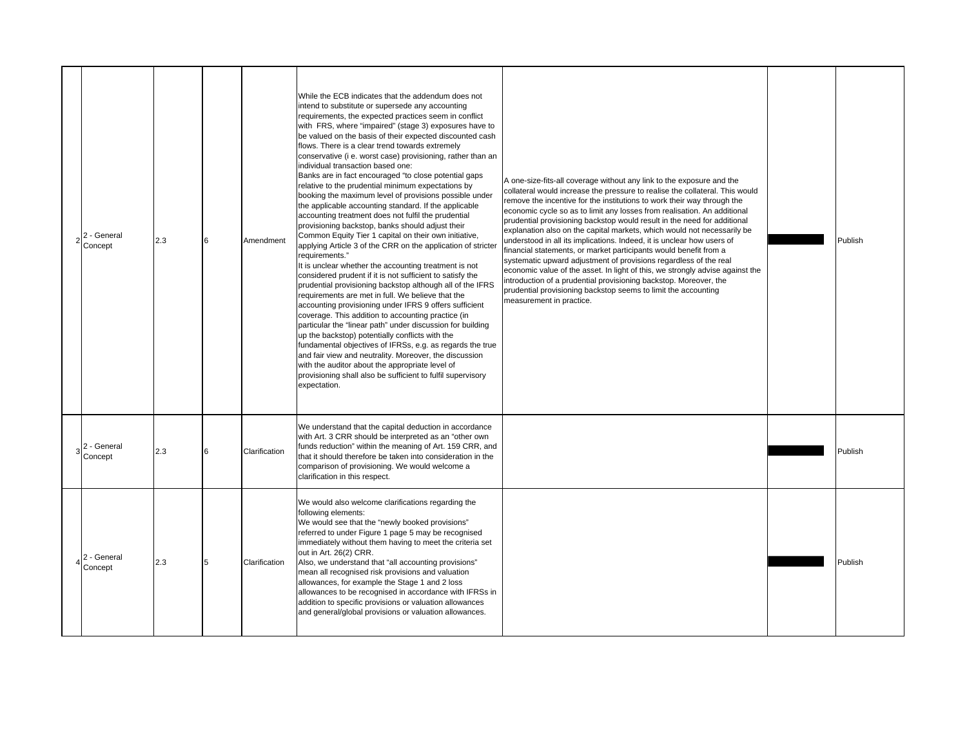| 2 - General<br>Concept | 2.3 | 6 | Amendment     | While the ECB indicates that the addendum does not<br>intend to substitute or supersede any accounting<br>requirements, the expected practices seem in conflict<br>with FRS, where "impaired" (stage 3) exposures have to<br>be valued on the basis of their expected discounted cash<br>flows. There is a clear trend towards extremely<br>conservative (i e. worst case) provisioning, rather than an<br>individual transaction based one:<br>Banks are in fact encouraged "to close potential gaps<br>relative to the prudential minimum expectations by<br>booking the maximum level of provisions possible under<br>the applicable accounting standard. If the applicable<br>accounting treatment does not fulfil the prudential<br>provisioning backstop, banks should adjust their<br>Common Equity Tier 1 capital on their own initiative,<br>applying Article 3 of the CRR on the application of stricter<br>requirements."<br>It is unclear whether the accounting treatment is not<br>considered prudent if it is not sufficient to satisfy the<br>prudential provisioning backstop although all of the IFRS<br>requirements are met in full. We believe that the<br>accounting provisioning under IFRS 9 offers sufficient<br>coverage. This addition to accounting practice (in<br>particular the "linear path" under discussion for building<br>up the backstop) potentially conflicts with the<br>fundamental objectives of IFRSs, e.g. as regards the true<br>and fair view and neutrality. Moreover, the discussion<br>with the auditor about the appropriate level of<br>provisioning shall also be sufficient to fulfil supervisory<br>expectation. | A one-size-fits-all coverage without any link to the exposure and the<br>collateral would increase the pressure to realise the collateral. This would<br>remove the incentive for the institutions to work their way through the<br>economic cycle so as to limit any losses from realisation. An additional<br>prudential provisioning backstop would result in the need for additional<br>explanation also on the capital markets, which would not necessarily be<br>understood in all its implications. Indeed, it is unclear how users of<br>financial statements, or market participants would benefit from a<br>systematic upward adjustment of provisions regardless of the real<br>economic value of the asset. In light of this, we strongly advise against the<br>introduction of a prudential provisioning backstop. Moreover, the<br>prudential provisioning backstop seems to limit the accounting<br>measurement in practice. | Publish |
|------------------------|-----|---|---------------|------------------------------------------------------------------------------------------------------------------------------------------------------------------------------------------------------------------------------------------------------------------------------------------------------------------------------------------------------------------------------------------------------------------------------------------------------------------------------------------------------------------------------------------------------------------------------------------------------------------------------------------------------------------------------------------------------------------------------------------------------------------------------------------------------------------------------------------------------------------------------------------------------------------------------------------------------------------------------------------------------------------------------------------------------------------------------------------------------------------------------------------------------------------------------------------------------------------------------------------------------------------------------------------------------------------------------------------------------------------------------------------------------------------------------------------------------------------------------------------------------------------------------------------------------------------------------------------------------------------------------------------------------------------------|---------------------------------------------------------------------------------------------------------------------------------------------------------------------------------------------------------------------------------------------------------------------------------------------------------------------------------------------------------------------------------------------------------------------------------------------------------------------------------------------------------------------------------------------------------------------------------------------------------------------------------------------------------------------------------------------------------------------------------------------------------------------------------------------------------------------------------------------------------------------------------------------------------------------------------------------|---------|
| 2 - General<br>Concept | 2.3 | 6 | Clarification | We understand that the capital deduction in accordance<br>with Art. 3 CRR should be interpreted as an "other own<br>funds reduction" within the meaning of Art. 159 CRR, and<br>that it should therefore be taken into consideration in the<br>comparison of provisioning. We would welcome a<br>clarification in this respect.                                                                                                                                                                                                                                                                                                                                                                                                                                                                                                                                                                                                                                                                                                                                                                                                                                                                                                                                                                                                                                                                                                                                                                                                                                                                                                                                        |                                                                                                                                                                                                                                                                                                                                                                                                                                                                                                                                                                                                                                                                                                                                                                                                                                                                                                                                             | Publish |
| 2 - General<br>Concept | 2.3 | 5 | Clarification | We would also welcome clarifications regarding the<br>following elements:<br>We would see that the "newly booked provisions"<br>referred to under Figure 1 page 5 may be recognised<br>immediately without them having to meet the criteria set<br>out in Art. 26(2) CRR.<br>Also, we understand that "all accounting provisions"<br>mean all recognised risk provisions and valuation<br>allowances, for example the Stage 1 and 2 loss<br>allowances to be recognised in accordance with IFRSs in<br>addition to specific provisions or valuation allowances<br>and general/global provisions or valuation allowances.                                                                                                                                                                                                                                                                                                                                                                                                                                                                                                                                                                                                                                                                                                                                                                                                                                                                                                                                                                                                                                               |                                                                                                                                                                                                                                                                                                                                                                                                                                                                                                                                                                                                                                                                                                                                                                                                                                                                                                                                             | Publish |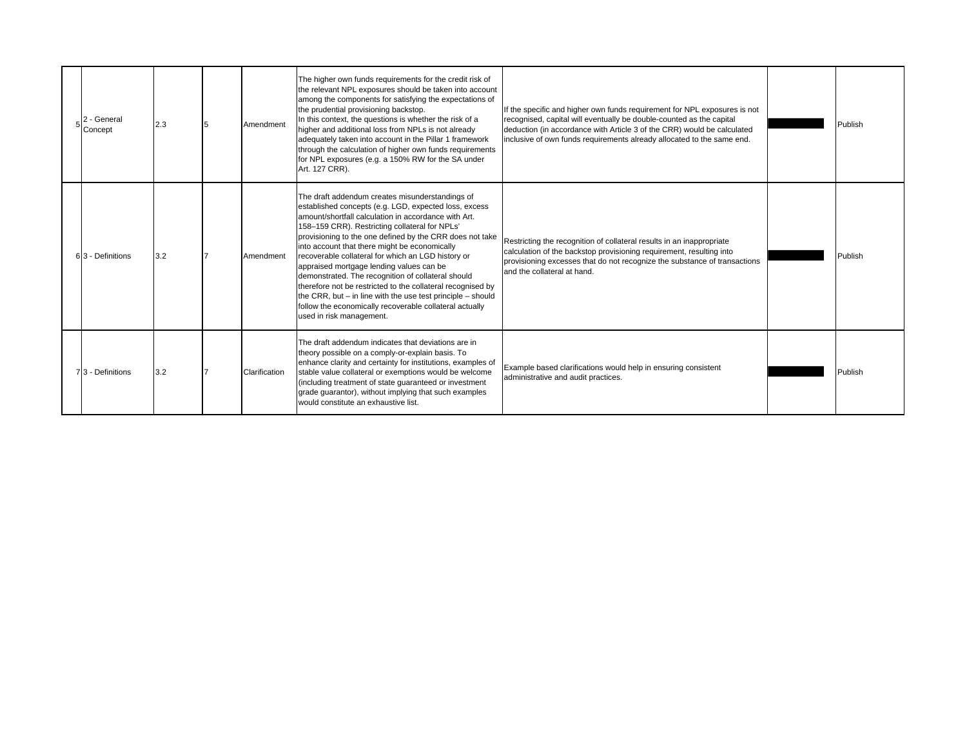| 2 - General<br>Concept | 2.3 | Amendment     | The higher own funds requirements for the credit risk of<br>the relevant NPL exposures should be taken into account<br>among the components for satisfying the expectations of<br>the prudential provisioning backstop.<br>In this context, the questions is whether the risk of a<br>higher and additional loss from NPLs is not already<br>adequately taken into account in the Pillar 1 framework<br>through the calculation of higher own funds requirements<br>for NPL exposures (e.g. a 150% RW for the SA under<br>Art. 127 CRR).                                                                                                                                                                     | If the specific and higher own funds requirement for NPL exposures is not<br>recognised, capital will eventually be double-counted as the capital<br>deduction (in accordance with Article 3 of the CRR) would be calculated<br>inclusive of own funds requirements already allocated to the same end. | Publish |
|------------------------|-----|---------------|--------------------------------------------------------------------------------------------------------------------------------------------------------------------------------------------------------------------------------------------------------------------------------------------------------------------------------------------------------------------------------------------------------------------------------------------------------------------------------------------------------------------------------------------------------------------------------------------------------------------------------------------------------------------------------------------------------------|--------------------------------------------------------------------------------------------------------------------------------------------------------------------------------------------------------------------------------------------------------------------------------------------------------|---------|
| 63 - Definitions       | 3.2 | Amendment     | The draft addendum creates misunderstandings of<br>established concepts (e.g. LGD, expected loss, excess<br>amount/shortfall calculation in accordance with Art.<br>158-159 CRR). Restricting collateral for NPLs'<br>provisioning to the one defined by the CRR does not take<br>into account that there might be economically<br>recoverable collateral for which an LGD history or<br>appraised mortgage lending values can be<br>demonstrated. The recognition of collateral should<br>therefore not be restricted to the collateral recognised by<br>the CRR, but - in line with the use test principle - should<br>follow the economically recoverable collateral actually<br>used in risk management. | Restricting the recognition of collateral results in an inappropriate<br>calculation of the backstop provisioning requirement, resulting into<br>provisioning excesses that do not recognize the substance of transactions<br>and the collateral at hand.                                              | Publish |
| 73 - Definitions       | 3.2 | Clarification | The draft addendum indicates that deviations are in<br>theory possible on a comply-or-explain basis. To<br>enhance clarity and certainty for institutions, examples of<br>stable value collateral or exemptions would be welcome<br>(including treatment of state guaranteed or investment<br>grade quarantor), without implying that such examples<br>would constitute an exhaustive list.                                                                                                                                                                                                                                                                                                                  | Example based clarifications would help in ensuring consistent<br>administrative and audit practices.                                                                                                                                                                                                  | Publish |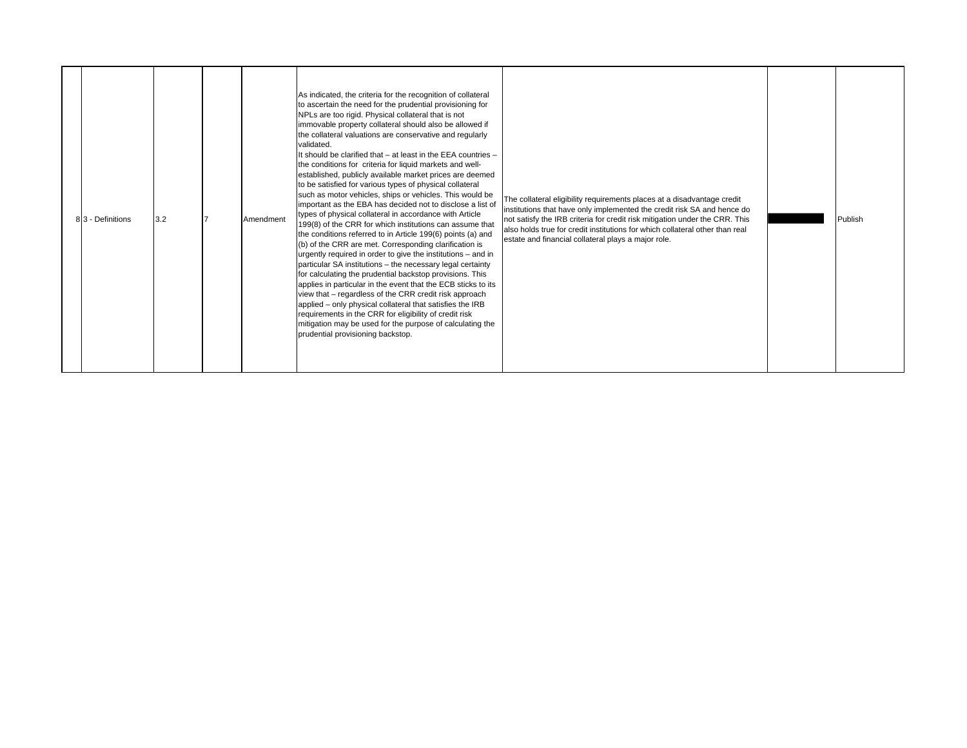| 83 - Definitions<br>3.2 |  | Amendment | As indicated, the criteria for the recognition of collateral<br>to ascertain the need for the prudential provisioning for<br>NPLs are too rigid. Physical collateral that is not<br>immovable property collateral should also be allowed if<br>the collateral valuations are conservative and regularly<br>validated.<br>It should be clarified that - at least in the EEA countries -<br>the conditions for criteria for liquid markets and well-<br>established, publicly available market prices are deemed<br>to be satisfied for various types of physical collateral<br>such as motor vehicles, ships or vehicles. This would be<br>important as the EBA has decided not to disclose a list of<br>types of physical collateral in accordance with Article<br>199(8) of the CRR for which institutions can assume that<br>the conditions referred to in Article 199(6) points (a) and<br>(b) of the CRR are met. Corresponding clarification is<br>urgently required in order to give the institutions - and in<br>particular SA institutions - the necessary legal certainty<br>for calculating the prudential backstop provisions. This<br>applies in particular in the event that the ECB sticks to its<br>view that - regardless of the CRR credit risk approach<br>applied – only physical collateral that satisfies the IRB<br>requirements in the CRR for eligibility of credit risk<br>mitigation may be used for the purpose of calculating the<br>prudential provisioning backstop. | The collateral eligibility requirements places at a disadvantage credit<br>institutions that have only implemented the credit risk SA and hence do<br>not satisfy the IRB criteria for credit risk mitigation under the CRR. This<br>also holds true for credit institutions for which collateral other than real<br>estate and financial collateral plays a major role. |  | Publish |
|-------------------------|--|-----------|----------------------------------------------------------------------------------------------------------------------------------------------------------------------------------------------------------------------------------------------------------------------------------------------------------------------------------------------------------------------------------------------------------------------------------------------------------------------------------------------------------------------------------------------------------------------------------------------------------------------------------------------------------------------------------------------------------------------------------------------------------------------------------------------------------------------------------------------------------------------------------------------------------------------------------------------------------------------------------------------------------------------------------------------------------------------------------------------------------------------------------------------------------------------------------------------------------------------------------------------------------------------------------------------------------------------------------------------------------------------------------------------------------------------------------------------------------------------------------------------------|--------------------------------------------------------------------------------------------------------------------------------------------------------------------------------------------------------------------------------------------------------------------------------------------------------------------------------------------------------------------------|--|---------|
|-------------------------|--|-----------|----------------------------------------------------------------------------------------------------------------------------------------------------------------------------------------------------------------------------------------------------------------------------------------------------------------------------------------------------------------------------------------------------------------------------------------------------------------------------------------------------------------------------------------------------------------------------------------------------------------------------------------------------------------------------------------------------------------------------------------------------------------------------------------------------------------------------------------------------------------------------------------------------------------------------------------------------------------------------------------------------------------------------------------------------------------------------------------------------------------------------------------------------------------------------------------------------------------------------------------------------------------------------------------------------------------------------------------------------------------------------------------------------------------------------------------------------------------------------------------------------|--------------------------------------------------------------------------------------------------------------------------------------------------------------------------------------------------------------------------------------------------------------------------------------------------------------------------------------------------------------------------|--|---------|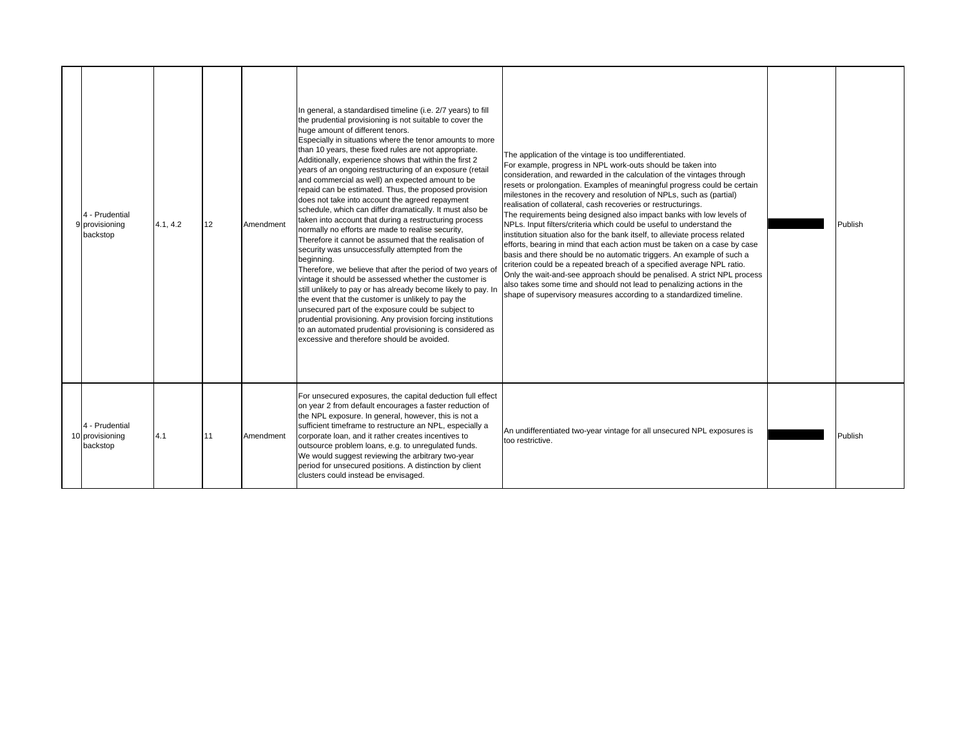| 4 - Prudential<br>9 provisioning<br>backstop  | 4.1, 4.2 | 12 | Amendment | In general, a standardised timeline (i.e. 2/7 years) to fill<br>the prudential provisioning is not suitable to cover the<br>huge amount of different tenors.<br>Especially in situations where the tenor amounts to more<br>than 10 years, these fixed rules are not appropriate.<br>Additionally, experience shows that within the first 2<br>years of an ongoing restructuring of an exposure (retail<br>and commercial as well) an expected amount to be<br>repaid can be estimated. Thus, the proposed provision<br>does not take into account the agreed repayment<br>schedule, which can differ dramatically. It must also be<br>taken into account that during a restructuring process<br>normally no efforts are made to realise security,<br>Therefore it cannot be assumed that the realisation of<br>security was unsuccessfully attempted from the<br>beginning.<br>Therefore, we believe that after the period of two years of<br>vintage it should be assessed whether the customer is<br>still unlikely to pay or has already become likely to pay. In<br>the event that the customer is unlikely to pay the<br>unsecured part of the exposure could be subject to<br>prudential provisioning. Any provision forcing institutions<br>to an automated prudential provisioning is considered as<br>excessive and therefore should be avoided. | The application of the vintage is too undifferentiated.<br>For example, progress in NPL work-outs should be taken into<br>consideration, and rewarded in the calculation of the vintages through<br>resets or prolongation. Examples of meaningful progress could be certain<br>milestones in the recovery and resolution of NPLs, such as (partial)<br>realisation of collateral, cash recoveries or restructurings.<br>The requirements being designed also impact banks with low levels of<br>NPLs. Input filters/criteria which could be useful to understand the<br>institution situation also for the bank itself, to alleviate process related<br>efforts, bearing in mind that each action must be taken on a case by case<br>basis and there should be no automatic triggers. An example of such a<br>criterion could be a repeated breach of a specified average NPL ratio.<br>Only the wait-and-see approach should be penalised. A strict NPL process<br>also takes some time and should not lead to penalizing actions in the<br>shape of supervisory measures according to a standardized timeline. | Publish |
|-----------------------------------------------|----------|----|-----------|------------------------------------------------------------------------------------------------------------------------------------------------------------------------------------------------------------------------------------------------------------------------------------------------------------------------------------------------------------------------------------------------------------------------------------------------------------------------------------------------------------------------------------------------------------------------------------------------------------------------------------------------------------------------------------------------------------------------------------------------------------------------------------------------------------------------------------------------------------------------------------------------------------------------------------------------------------------------------------------------------------------------------------------------------------------------------------------------------------------------------------------------------------------------------------------------------------------------------------------------------------------------------------------------------------------------------------------------------------|-------------------------------------------------------------------------------------------------------------------------------------------------------------------------------------------------------------------------------------------------------------------------------------------------------------------------------------------------------------------------------------------------------------------------------------------------------------------------------------------------------------------------------------------------------------------------------------------------------------------------------------------------------------------------------------------------------------------------------------------------------------------------------------------------------------------------------------------------------------------------------------------------------------------------------------------------------------------------------------------------------------------------------------------------------------------------------------------------------------------|---------|
| 4 - Prudential<br>10 provisioning<br>backstop | 4.1      | 11 | Amendment | For unsecured exposures, the capital deduction full effect<br>on year 2 from default encourages a faster reduction of<br>the NPL exposure. In general, however, this is not a<br>sufficient timeframe to restructure an NPL, especially a<br>corporate loan, and it rather creates incentives to<br>outsource problem loans, e.g. to unregulated funds.<br>We would suggest reviewing the arbitrary two-year<br>period for unsecured positions. A distinction by client<br>clusters could instead be envisaged.                                                                                                                                                                                                                                                                                                                                                                                                                                                                                                                                                                                                                                                                                                                                                                                                                                            | An undifferentiated two-year vintage for all unsecured NPL exposures is<br>too restrictive.                                                                                                                                                                                                                                                                                                                                                                                                                                                                                                                                                                                                                                                                                                                                                                                                                                                                                                                                                                                                                       | Publish |